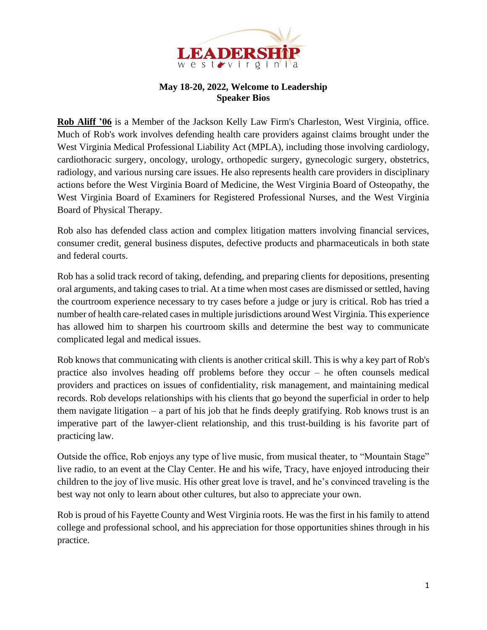

## **May 18-20, 2022, Welcome to Leadership Speaker Bios**

**Rob Aliff '06** is a Member of the Jackson Kelly Law Firm's Charleston, West Virginia, office. Much of Rob's work involves defending health care providers against claims brought under the West Virginia Medical Professional Liability Act (MPLA), including those involving cardiology, cardiothoracic surgery, oncology, urology, orthopedic surgery, gynecologic surgery, obstetrics, radiology, and various nursing care issues. He also represents health care providers in disciplinary actions before the West Virginia Board of Medicine, the West Virginia Board of Osteopathy, the West Virginia Board of Examiners for Registered Professional Nurses, and the West Virginia Board of Physical Therapy.

Rob also has defended class action and complex litigation matters involving financial services, consumer credit, general business disputes, defective products and pharmaceuticals in both state and federal courts.

Rob has a solid track record of taking, defending, and preparing clients for depositions, presenting oral arguments, and taking cases to trial. At a time when most cases are dismissed or settled, having the courtroom experience necessary to try cases before a judge or jury is critical. Rob has tried a number of health care-related cases in multiple jurisdictions around West Virginia. This experience has allowed him to sharpen his courtroom skills and determine the best way to communicate complicated legal and medical issues.

Rob knows that communicating with clients is another critical skill. This is why a key part of Rob's practice also involves heading off problems before they occur – he often counsels medical providers and practices on issues of confidentiality, risk management, and maintaining medical records. Rob develops relationships with his clients that go beyond the superficial in order to help them navigate litigation – a part of his job that he finds deeply gratifying. Rob knows trust is an imperative part of the lawyer-client relationship, and this trust-building is his favorite part of practicing law.

Outside the office, Rob enjoys any type of live music, from musical theater, to "Mountain Stage" live radio, to an event at the Clay Center. He and his wife, Tracy, have enjoyed introducing their children to the joy of live music. His other great love is travel, and he's convinced traveling is the best way not only to learn about other cultures, but also to appreciate your own.

Rob is proud of his Fayette County and West Virginia roots. He was the first in his family to attend college and professional school, and his appreciation for those opportunities shines through in his practice.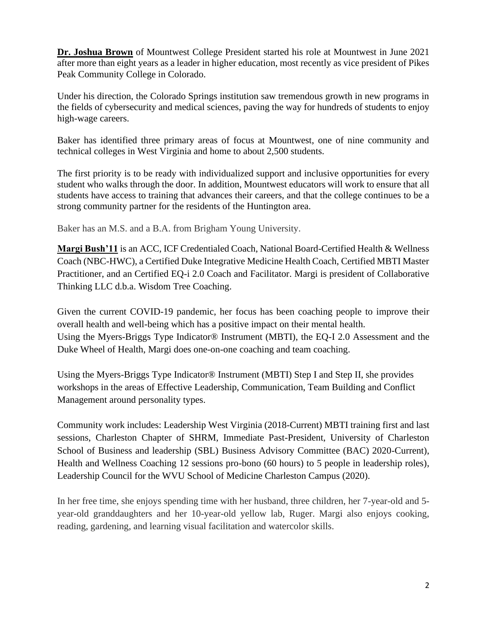**Dr. Joshua Brown** of Mountwest College President started his role at Mountwest in June 2021 after more than eight years as a leader in higher education, most recently as vice president of Pikes Peak Community College in Colorado.

Under his direction, the Colorado Springs institution saw tremendous growth in new programs in the fields of cybersecurity and medical sciences, paving the way for hundreds of students to enjoy high-wage careers.

Baker has identified three primary areas of focus at Mountwest, one of nine community and technical colleges in West Virginia and home to about 2,500 students.

The first priority is to be ready with individualized support and inclusive opportunities for every student who walks through the door. In addition, Mountwest educators will work to ensure that all students have access to training that advances their careers, and that the college continues to be a strong community partner for the residents of the Huntington area.

Baker has an M.S. and a B.A. from Brigham Young University.

**Margi Bush'11** is an ACC, ICF Credentialed Coach, National Board-Certified Health & Wellness Coach (NBC-HWC), a Certified Duke Integrative Medicine Health Coach, Certified MBTI Master Practitioner, and an Certified EQ-i 2.0 Coach and Facilitator. Margi is president of Collaborative Thinking LLC d.b.a. Wisdom Tree Coaching.

Given the current COVID-19 pandemic, her focus has been coaching people to improve their overall health and well-being which has a positive impact on their mental health. Using the Myers-Briggs Type Indicator® Instrument (MBTI), the EQ-I 2.0 Assessment and the Duke Wheel of Health, Margi does one-on-one coaching and team coaching.

Using the Myers-Briggs Type Indicator® Instrument (MBTI) Step I and Step II, she provides workshops in the areas of Effective Leadership, Communication, Team Building and Conflict Management around personality types.

Community work includes: Leadership West Virginia (2018-Current) MBTI training first and last sessions, Charleston Chapter of SHRM, Immediate Past-President, University of Charleston School of Business and leadership (SBL) Business Advisory Committee (BAC) 2020-Current), Health and Wellness Coaching 12 sessions pro-bono (60 hours) to 5 people in leadership roles), Leadership Council for the WVU School of Medicine Charleston Campus (2020).

In her free time, she enjoys spending time with her husband, three children, her 7-year-old and 5 year-old granddaughters and her 10-year-old yellow lab, Ruger. Margi also enjoys cooking, reading, gardening, and learning visual facilitation and watercolor skills.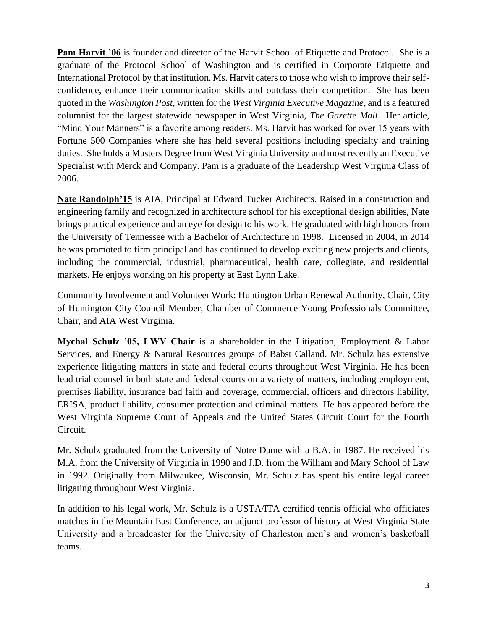**Pam Harvit '06** is founder and director of the Harvit School of Etiquette and Protocol. She is a graduate of the Protocol School of Washington and is certified in Corporate Etiquette and International Protocol by that institution. Ms. Harvit caters to those who wish to improve their selfconfidence, enhance their communication skills and outclass their competition. She has been quoted in the *Washington Post,* written for the *West Virginia Executive Magazine*, and is a featured columnist for the largest statewide newspaper in West Virginia, *The Gazette Mail*. Her article, "Mind Your Manners" is a favorite among readers. Ms. Harvit has worked for over 15 years with Fortune 500 Companies where she has held several positions including specialty and training duties. She holds a Masters Degree from West Virginia University and most recently an Executive Specialist with Merck and Company. Pam is a graduate of the Leadership West Virginia Class of 2006.

**Nate Randolph'15** is AIA, Principal at Edward Tucker Architects. Raised in a construction and engineering family and recognized in architecture school for his exceptional design abilities, Nate brings practical experience and an eye for design to his work. He graduated with high honors from the University of Tennessee with a Bachelor of Architecture in 1998. Licensed in 2004, in 2014 he was promoted to firm principal and has continued to develop exciting new projects and clients, including the commercial, industrial, pharmaceutical, health care, collegiate, and residential markets. He enjoys working on his property at East Lynn Lake.

Community Involvement and Volunteer Work: Huntington Urban Renewal Authority, Chair, City of Huntington City Council Member, Chamber of Commerce Young Professionals Committee, Chair, and AIA West Virginia.

**Mychal Schulz '05, LWV Chair** is a shareholder in the Litigation, Employment & Labor Services, and Energy & Natural Resources groups of Babst Calland. Mr. Schulz has extensive experience litigating matters in state and federal courts throughout West Virginia. He has been lead trial counsel in both state and federal courts on a variety of matters, including employment, premises liability, insurance bad faith and coverage, commercial, officers and directors liability, ERISA, product liability, consumer protection and criminal matters. He has appeared before the West Virginia Supreme Court of Appeals and the United States Circuit Court for the Fourth Circuit.

Mr. Schulz graduated from the University of Notre Dame with a B.A. in 1987. He received his M.A. from the University of Virginia in 1990 and J.D. from the William and Mary School of Law in 1992. Originally from Milwaukee, Wisconsin, Mr. Schulz has spent his entire legal career litigating throughout West Virginia.

In addition to his legal work, Mr. Schulz is a USTA/ITA certified tennis official who officiates matches in the Mountain East Conference, an adjunct professor of history at West Virginia State University and a broadcaster for the University of Charleston men's and women's basketball teams.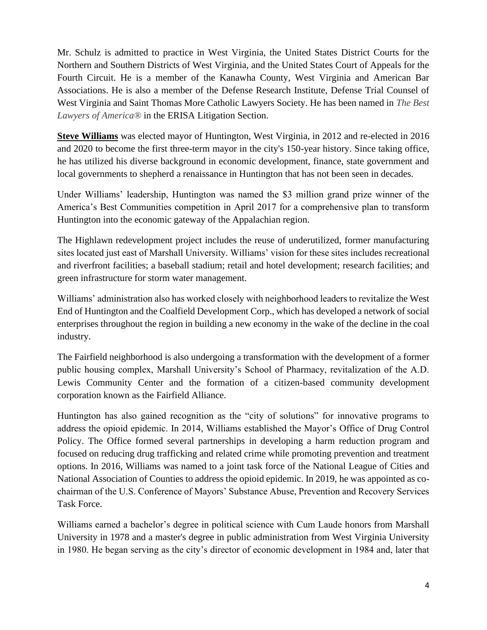Mr. Schulz is admitted to practice in West Virginia, the United States District Courts for the Northern and Southern Districts of West Virginia, and the United States Court of Appeals for the Fourth Circuit. He is a member of the Kanawha County, West Virginia and American Bar Associations. He is also a member of the Defense Research Institute, Defense Trial Counsel of West Virginia and Saint Thomas More Catholic Lawyers Society. He has been named in *The Best Lawyers of America®* in the ERISA Litigation Section.

**Steve Williams** was elected mayor of Huntington, West Virginia, in 2012 and re-elected in 2016 and 2020 to become the first three-term mayor in the city's 150-year history. Since taking office, he has utilized his diverse background in economic development, finance, state government and local governments to shepherd a renaissance in Huntington that has not been seen in decades.

Under Williams' leadership, Huntington was named the \$3 million grand prize winner of the America's Best Communities competition in April 2017 for a comprehensive plan to transform Huntington into the economic gateway of the Appalachian region.

The Highlawn redevelopment project includes the reuse of underutilized, former manufacturing sites located just east of Marshall University. Williams' vision for these sites includes recreational and riverfront facilities; a baseball stadium; retail and hotel development; research facilities; and green infrastructure for storm water management.

Williams' administration also has worked closely with neighborhood leaders to revitalize the West End of Huntington and the Coalfield Development Corp., which has developed a network of social enterprises throughout the region in building a new economy in the wake of the decline in the coal industry.

The Fairfield neighborhood is also undergoing a transformation with the development of a former public housing complex, Marshall University's School of Pharmacy, revitalization of the A.D. Lewis Community Center and the formation of a citizen-based community development corporation known as the Fairfield Alliance.

Huntington has also gained recognition as the "city of solutions" for innovative programs to address the opioid epidemic. In 2014, Williams established the Mayor's Office of Drug Control Policy. The Office formed several partnerships in developing a harm reduction program and focused on reducing drug trafficking and related crime while promoting prevention and treatment options. In 2016, Williams was named to a joint task force of the National League of Cities and National Association of Counties to address the opioid epidemic. In 2019, he was appointed as cochairman of the U.S. Conference of Mayors' Substance Abuse, Prevention and Recovery Services Task Force.

Williams earned a bachelor's degree in political science with Cum Laude honors from Marshall University in 1978 and a master's degree in public administration from West Virginia University in 1980. He began serving as the city's director of economic development in 1984 and, later that